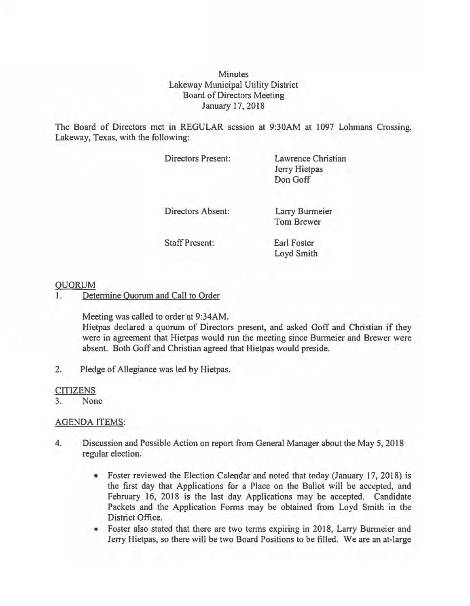**Minutes** Lakeway Municipal Utility District Board of Directors Meeting January 17, 2018

The Board of Directors met in REGULAR session at 9:30AM at 1097 Lohmans Crossing, Lakeway, Texas, with the following:

Directors Present:

Lawrence Christian Jerry Hietpas Don Goff

Directors Absent:

Larry Burmeier Tom Brewer

Staff Present:

Earl Foster Loyd Smith

## **OUORUM**

I. Determine Quorum and Call to Order

Meeting was called to order at 9:34AM.

Hietpas declared a quorum of Directors present, and asked Goff and Christian if they were in agreement that Hietpas would run the meeting since Burmeier and Brewer were absent. Both Goff and Christian agreed that Hietpas would preside.

2. Pledge of Allegiance was led by Hietpas.

## **CITIZENS**

3. None

## AGENDA ITEMS:

- 4. Discussion and Possible Action on report from General Manager about the May 5, 2018 regular election.
	- Foster reviewed the Election Calendar and noted that today (January 17, 2018) is the first day that Applications for a Place on the Ballot will be accepted, and February 16, 2018 is the last day Applications may be accepted. Candidate Packets and the Application Forms may be obtained from Loyd Smith in the District Office.
	- Foster also stated that there are two terms expiring in 2018, Larry Burmeier and Jerry Hietpas, so there will be two Board Positions to be filled. We are an at-large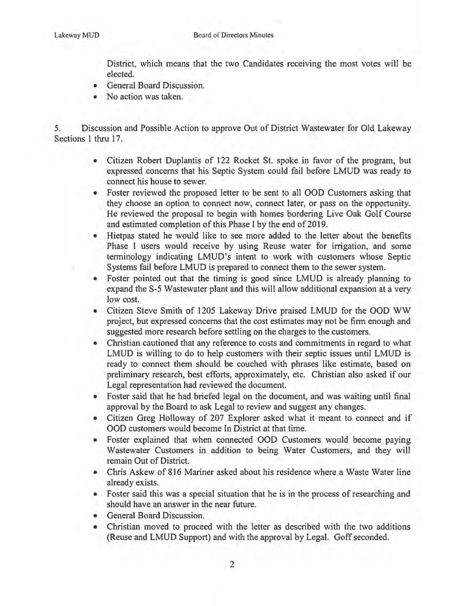District, which means that the two Candidates receiving the most votes will be elected.

- General Board Discussion.
- No action was taken.

*5.* Discussion and Possible Action to approve Out of District Wastewater for Old Lakeway Sections 1 thru 17.

- Citizen Robert Duplantis of 122 Rocket St. spoke in favor of the program, but expressed concerns that his Septic System could fail before LMUD was ready to connect his house to sewer.
- Foster reviewed the proposed letter to be sent to all OOD Customers asking that they choose an option to connect now, connect later, or pass on the opportunity. He reviewed the proposal to begin with homes bordering Live Oak Golf Course and estimated completion of this Phase I by the end of 2019.
- Hietpas stated he would like to see more added to the letter about the benefits Phase I users would receive by using Reuse water for irrigation, and some terminology indicating LMUD's intent to work with customers whose Septic Systems fail before LMUD is prepared to connect them to the sewer system.
- Foster pointed out that the timing is good since LMUD is already planning to expand the S-5 Wastewater plant and this will allow additional expansion at a very low cost.
- Citizen Steve Smith of 1205 Lakeway Drive praised LMUD for the OOD WW project, but expressed concerns that the cost estimates may not be firm enough and suggested more research before settling on the charges to the customers.
- Christian cautioned that any reference to costs and commitments in regard to what LMUD is willing to do to help customers with their septic issues until LMUD is ready to connect them should be couched with phrases like estimate, based on preliminary research, best efforts, approximately, etc. Christian also asked if our Legal representation had reviewed the document.
- Foster said that he had briefed legal on the document, and was waiting until final approval by the Board to ask Legal to review and suggest any changes.
- Citizen Greg Holloway of 207 Explorer asked what it meant to connect and if OOD customers would become In District at that time.
- Foster explained that when connected OOD Customers would become paying Wastewater Customers in addition to being Water Customers, and they will remain Out of District.
- Chris Askew of 816 Mariner asked about his residence where a Waste Water line already exists.
- Foster said this was a special situation that he is in the process of researching and should have an answer in the near future.
- General Board Discussion.
- Christian moved to proceed with the letter as described with the two additions (Reuse and LMUD Support) and with the approval by Legal. Goff seconded.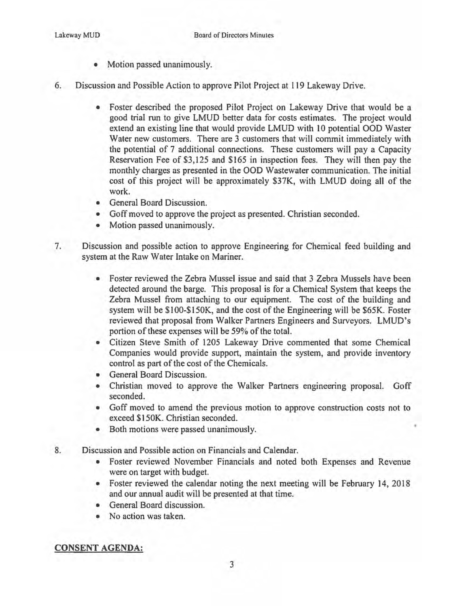- Motion passed unanimously.
- 6. Discussion and Possible Action to approve Pilot Project at 119 Lakeway Drive.
	- Foster described the proposed Pilot Project on Lakeway Drive that would be a good trial run to give LMUD better data for costs estimates. The project would extend an existing line that would provide LMUD with 10 potential OOD Waster Water new customers. There are 3 customers that will commit immediately with the potential of 7 additional connections. These customers will pay a Capacity Reservation Fee of \$3,125 and \$165 in inspection fees. They will then pay the monthly charges as presented in the 000 Wastewater communication. The initial cost of this project will be approximately \$37K, with LMUD doing all of the work.
	- General Board Discussion.
	- Goff moved to approve the project as presented. Christian seconded.
	- Motion passed unanimously.
- 7. Discussion and possible action to approve Engineering for Chemical feed building and system at the Raw Water Intake on Mariner.
	- Foster reviewed the Zebra Mussel issue and said that 3 Zebra Mussels have been detected around the barge. This proposal is for a Chemical System that keeps the Zebra Mussel from attaching to our equipment. The cost of the building and system will be \$1 00-\$150K, and the cost of the Engineering will be \$65K. Foster reviewed that proposal from Walker Partners Engineers and Surveyors. LMUD's portion of these expenses will be 59% of the total.
	- Citizen Steve Smith of 1205 Lakeway Drive commented that some Chemical Companies would provide support, maintain the system, and provide inventory control as part of the cost of the Chemicals.
	- General Board Discussion.
	- Christian moved to approve the Walker Partners engineering proposal. Goff seconded.
	- Goff moved to amend the previous motion to approve construction costs not to exceed \$150K. Christian seconded.
	- Both motions were passed unanimously.
- 8. Discussion and Possible action on Financials and Calendar.
	- Foster reviewed November Financials and noted both Expenses and Revenue were on target with budget.
	- Foster reviewed the calendar noting the next meeting will be February 14, 2018 and our annual audit will be presented at that time.
	- General Board discussion.
	- No action was taken.

## CONSENT AGENDA: